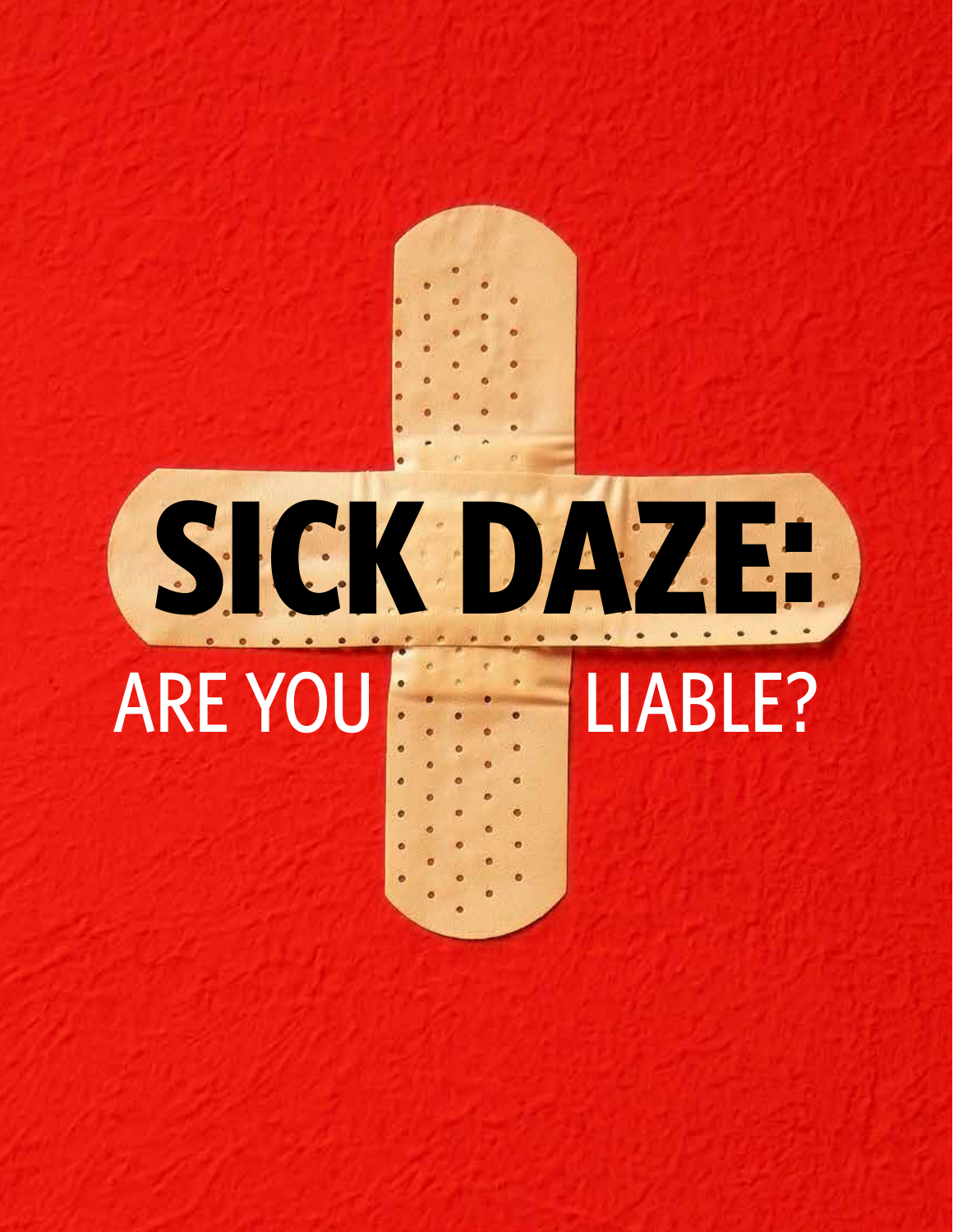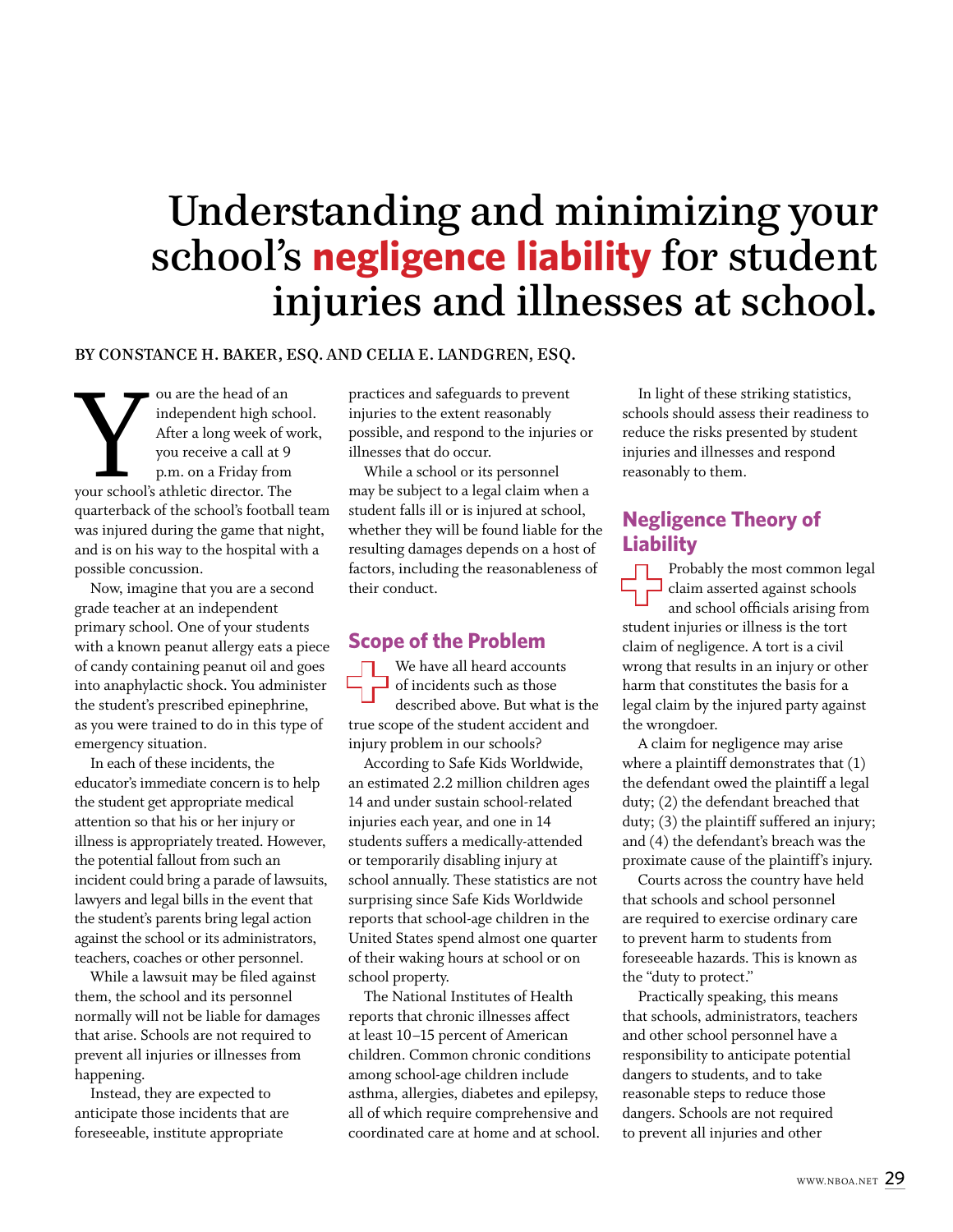# Understanding and minimizing your school's **negligence liability** for student injuries and illnesses at school.

#### By Constance H. Baker, Esq. and Celia E. Landgren, Esq.

ou are the head of an<br>
independent high school<br>
After a long week of w<br>
you receive a call at 9<br>
p.m. on a Friday from<br>
your school's athletic director. The<br>
wertchell of the school's forthall independent high school. After a long week of work, you receive a call at 9 p.m. on a Friday from quarterback of the school's football team was injured during the game that night, and is on his way to the hospital with a possible concussion.

Now, imagine that you are a second grade teacher at an independent primary school. One of your students with a known peanut allergy eats a piece of candy containing peanut oil and goes into anaphylactic shock. You administer the student's prescribed epinephrine, as you were trained to do in this type of emergency situation.

In each of these incidents, the educator's immediate concern is to help the student get appropriate medical attention so that his or her injury or illness is appropriately treated. However, the potential fallout from such an incident could bring a parade of lawsuits, lawyers and legal bills in the event that the student's parents bring legal action against the school or its administrators, teachers, coaches or other personnel.

While a lawsuit may be filed against them, the school and its personnel normally will not be liable for damages that arise. Schools are not required to prevent all injuries or illnesses from happening.

Instead, they are expected to anticipate those incidents that are foreseeable, institute appropriate

practices and safeguards to prevent injuries to the extent reasonably possible, and respond to the injuries or illnesses that do occur.

While a school or its personnel may be subject to a legal claim when a student falls ill or is injured at school, whether they will be found liable for the resulting damages depends on a host of factors, including the reasonableness of their conduct.

### **Scope of the Problem**

We have all heard accounts of incidents such as those described above. But what is the true scope of the student accident and injury problem in our schools?

According to Safe Kids Worldwide, an estimated 2.2 million children ages 14 and under sustain school-related injuries each year, and one in 14 students suffers a medically-attended or temporarily disabling injury at school annually. These statistics are not surprising since Safe Kids Worldwide reports that school-age children in the United States spend almost one quarter of their waking hours at school or on school property.

The National Institutes of Health reports that chronic illnesses affect at least 10–15 percent of American children. Common chronic conditions among school-age children include asthma, allergies, diabetes and epilepsy, all of which require comprehensive and coordinated care at home and at school.

In light of these striking statistics, schools should assess their readiness to reduce the risks presented by student injuries and illnesses and respond reasonably to them.

## **Negligence Theory of Liability**

**Example 19**<br>Probably the most common legal<br>claim asserted against schools<br>and school officials arising from<br>student injuries or illness is the tort claim asserted against schools and school officials arising from student injuries or illness is the tort claim of negligence. A tort is a civil wrong that results in an injury or other harm that constitutes the basis for a legal claim by the injured party against the wrongdoer.

A claim for negligence may arise where a plaintiff demonstrates that (1) the defendant owed the plaintiff a legal duty; (2) the defendant breached that duty; (3) the plaintiff suffered an injury; and (4) the defendant's breach was the proximate cause of the plaintiff's injury.

Courts across the country have held that schools and school personnel are required to exercise ordinary care to prevent harm to students from foreseeable hazards. This is known as the "duty to protect."

Practically speaking, this means that schools, administrators, teachers and other school personnel have a responsibility to anticipate potential dangers to students, and to take reasonable steps to reduce those dangers. Schools are not required to prevent all injuries and other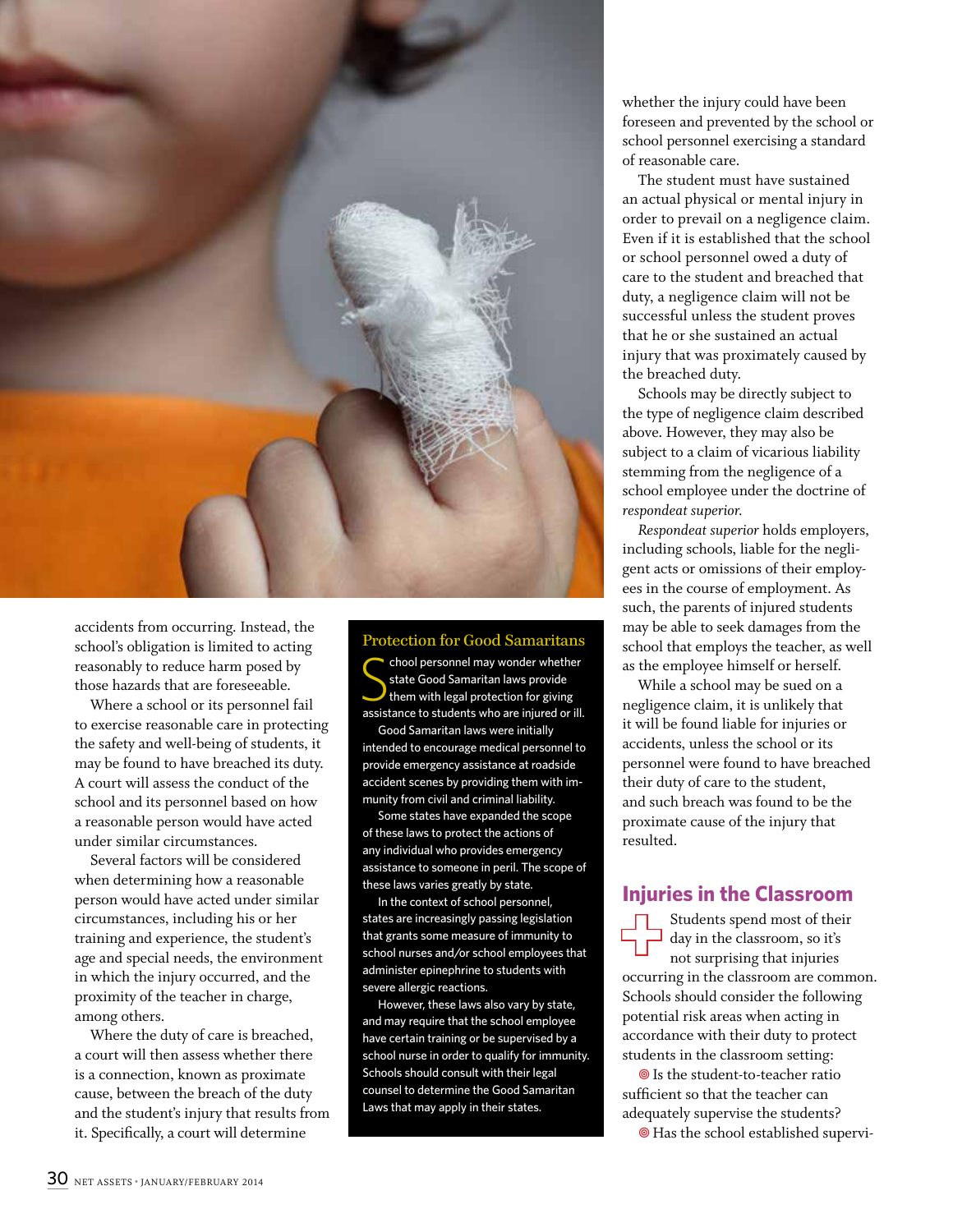

accidents from occurring. Instead, the school's obligation is limited to acting reasonably to reduce harm posed by those hazards that are foreseeable.

Where a school or its personnel fail to exercise reasonable care in protecting the safety and well-being of students, it may be found to have breached its duty. A court will assess the conduct of the school and its personnel based on how a reasonable person would have acted under similar circumstances.

Several factors will be considered when determining how a reasonable person would have acted under similar circumstances, including his or her training and experience, the student's age and special needs, the environment in which the injury occurred, and the proximity of the teacher in charge, among others.

Where the duty of care is breached, a court will then assess whether there is a connection, known as proximate cause, between the breach of the duty and the student's injury that results from it. Specifically, a court will determine

Protection for Good Samaritans  $\begin{tabular}{l} \multicolumn{2}{c}{\text{chool personnel may wonder whether}} \\ \text{state Good Samaritan laws provide} \\ \text{them with legal protection for giving} \\ \text{assistance to students who are injured or ill.} \end{tabular}$ chool personnel may wonder whether state Good Samaritan laws provide them with legal protection for giving

Good Samaritan laws were initially intended to encourage medical personnel to provide emergency assistance at roadside accident scenes by providing them with immunity from civil and criminal liability.

Some states have expanded the scope of these laws to protect the actions of any individual who provides emergency assistance to someone in peril. The scope of these laws varies greatly by state.

In the context of school personnel, states are increasingly passing legislation that grants some measure of immunity to school nurses and/or school employees that administer epinephrine to students with severe allergic reactions.

However, these laws also vary by state, and may require that the school employee have certain training or be supervised by a school nurse in order to qualify for immunity. Schools should consult with their legal counsel to determine the Good Samaritan Laws that may apply in their states.

whether the injury could have been foreseen and prevented by the school or school personnel exercising a standard of reasonable care.

The student must have sustained an actual physical or mental injury in order to prevail on a negligence claim. Even if it is established that the school or school personnel owed a duty of care to the student and breached that duty, a negligence claim will not be successful unless the student proves that he or she sustained an actual injury that was proximately caused by the breached duty.

Schools may be directly subject to the type of negligence claim described above. However, they may also be subject to a claim of vicarious liability stemming from the negligence of a school employee under the doctrine of *respondeat superior.*

*Respondeat superior* holds employers, including schools, liable for the negligent acts or omissions of their employees in the course of employment. As such, the parents of injured students may be able to seek damages from the school that employs the teacher, as well as the employee himself or herself.

While a school may be sued on a negligence claim, it is unlikely that it will be found liable for injuries or accidents, unless the school or its personnel were found to have breached their duty of care to the student, and such breach was found to be the proximate cause of the injury that resulted.

## **Injuries in the Classroom**

Students spend most of their day in the classroom, so it's not surprising that injuries occurring in the classroom are common. Schools should consider the following potential risk areas when acting in accordance with their duty to protect students in the classroom setting:

 Is the student-to-teacher ratio sufficient so that the teacher can adequately supervise the students?

Has the school established supervi-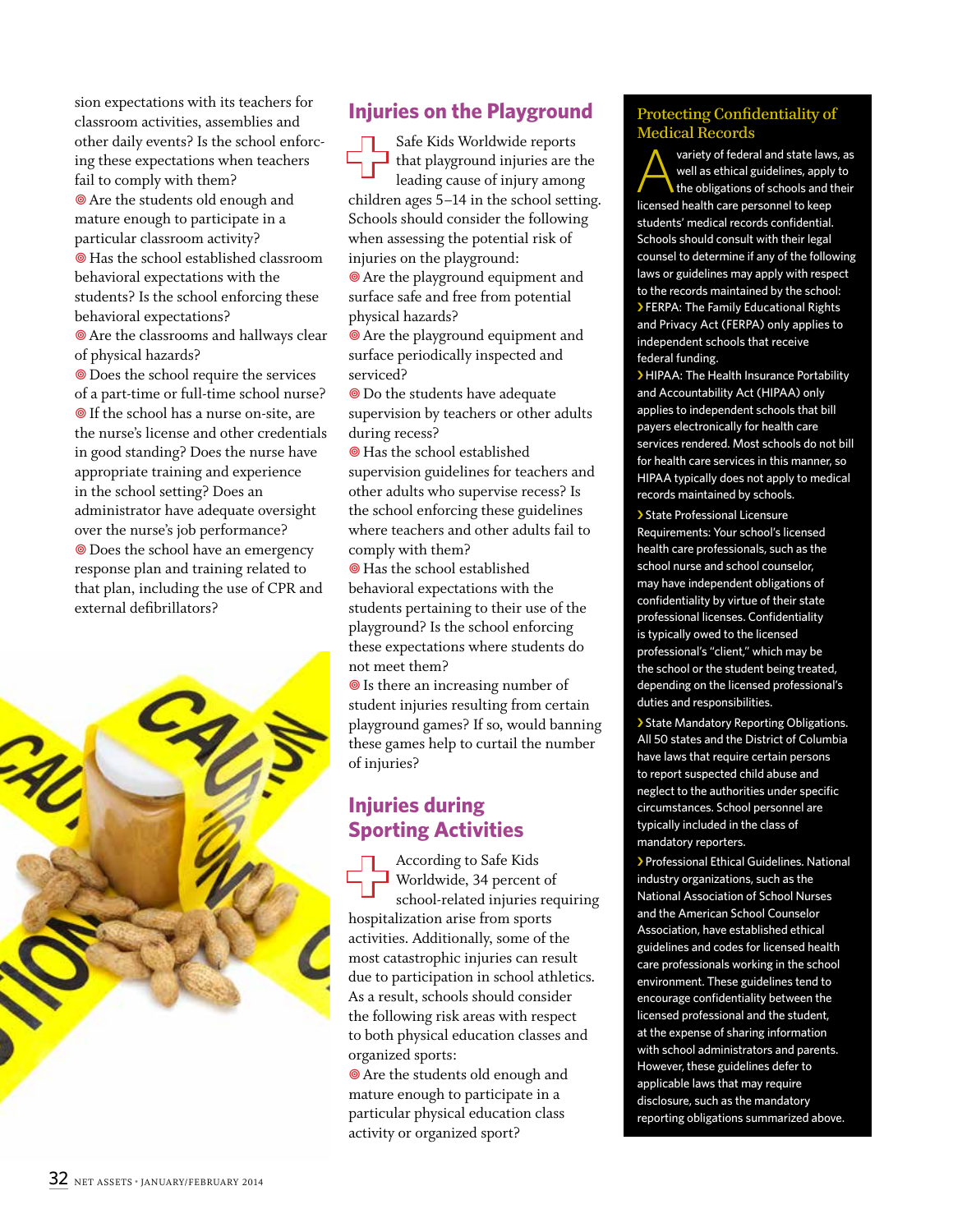sion expectations with its teachers for classroom activities, assemblies and other daily events? Is the school enforcing these expectations when teachers fail to comply with them? **Are the students old enough and** mature enough to participate in a particular classroom activity? Has the school established classroom behavioral expectations with the students? Is the school enforcing these behavioral expectations?

**Are the classrooms and hallways clear** of physical hazards?

**O** Does the school require the services of a part-time or full-time school nurse? **O** If the school has a nurse on-site, are the nurse's license and other credentials in good standing? Does the nurse have appropriate training and experience in the school setting? Does an administrator have adequate oversight over the nurse's job performance? Does the school have an emergency response plan and training related to that plan, including the use of CPR and external defibrillators?



# **Injuries on the Playground**

**+**Safe Kids Worldwide reports that playground injuries are the leading cause of injury among children ages 5–14 in the school setting. Schools should consider the following when assessing the potential risk of injuries on the playground:

 Are the playground equipment and surface safe and free from potential physical hazards?

 Are the playground equipment and surface periodically inspected and serviced?

 Do the students have adequate supervision by teachers or other adults during recess?

 Has the school established supervision guidelines for teachers and other adults who supervise recess? Is the school enforcing these guidelines where teachers and other adults fail to comply with them?

 Has the school established behavioral expectations with the students pertaining to their use of the playground? Is the school enforcing these expectations where students do not meet them?

 $\circledcirc$  Is there an increasing number of student injuries resulting from certain playground games? If so, would banning these games help to curtail the number of injuries?

## **Injuries during Sporting Activities**

According to Safe Kids<br>Worldwide, 34 percent<br>school-related injuries<br>hospitalization arise from spor Worldwide, 34 percent of school-related injuries requiring hospitalization arise from sports activities. Additionally, some of the most catastrophic injuries can result due to participation in school athletics. As a result, schools should consider the following risk areas with respect to both physical education classes and organized sports:

**Are the students old enough and** mature enough to participate in a particular physical education class activity or organized sport?

#### Protecting Confidentiality of Medical Records

variety of federal and state laws, as well as ethical guidelines, apply to the obligations of schools and their licensed health care personnel to keep students' medical records confidential. Schools should consult with their legal counsel to determine if any of the following laws or guidelines may apply with respect to the records maintained by the school: › FERPA: The Family Educational Rights and Privacy Act (FERPA) only applies to independent schools that receive federal funding.

› HIPAA: The Health Insurance Portability and Accountability Act (HIPAA) only applies to independent schools that bill payers electronically for health care services rendered. Most schools do not bill for health care services in this manner, so HIPAA typically does not apply to medical records maintained by schools.

› State Professional Licensure Requirements: Your school's licensed health care professionals, such as the school nurse and school counselor, may have independent obligations of confidentiality by virtue of their state professional licenses. Confidentiality is typically owed to the licensed professional's "client," which may be the school or the student being treated, depending on the licensed professional's duties and responsibilities.

› State Mandatory Reporting Obligations. All 50 states and the District of Columbia have laws that require certain persons to report suspected child abuse and neglect to the authorities under specific circumstances. School personnel are typically included in the class of mandatory reporters.

› Professional Ethical Guidelines. National industry organizations, such as the National Association of School Nurses and the American School Counselor Association, have established ethical guidelines and codes for licensed health care professionals working in the school environment. These guidelines tend to encourage confidentiality between the licensed professional and the student, at the expense of sharing information with school administrators and parents. However, these guidelines defer to applicable laws that may require disclosure, such as the mandatory reporting obligations summarized above.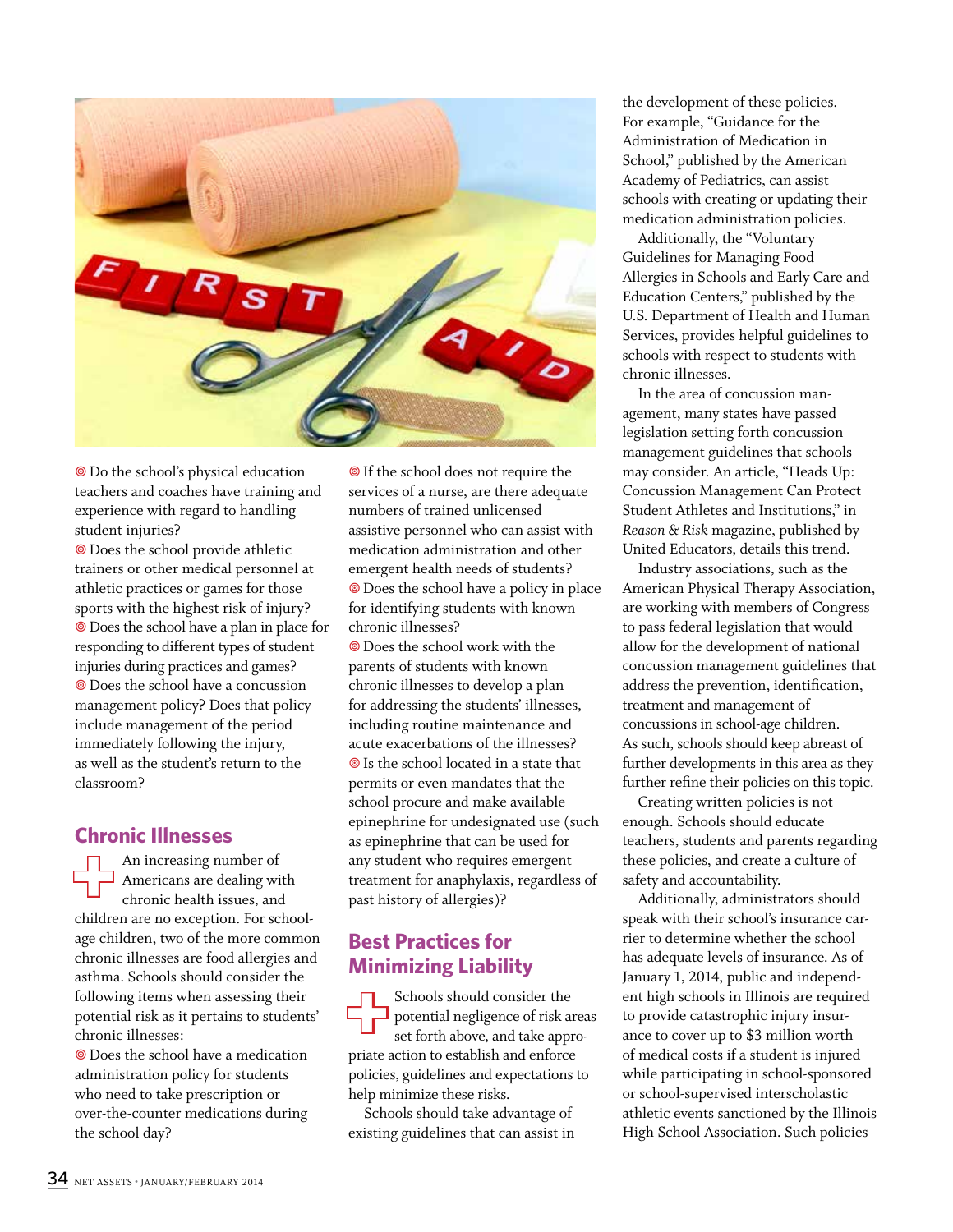

 Do the school's physical education teachers and coaches have training and experience with regard to handling student injuries?

**O** Does the school provide athletic trainers or other medical personnel at athletic practices or games for those sports with the highest risk of injury? Does the school have a plan in place for responding to different types of student injuries during practices and games? Does the school have a concussion management policy? Does that policy include management of the period immediately following the injury, as well as the student's return to the classroom?

### **Chronic Illnesses**

An increasing number of<br>Americans are dealing with<br>chronic health issues, and<br>children are no exception. For so Americans are dealing with chronic health issues, and children are no exception. For schoolage children, two of the more common chronic illnesses are food allergies and asthma. Schools should consider the following items when assessing their potential risk as it pertains to students' chronic illnesses:

 Does the school have a medication administration policy for students who need to take prescription or over-the-counter medications during the school day?

**O** If the school does not require the services of a nurse, are there adequate numbers of trained unlicensed assistive personnel who can assist with medication administration and other emergent health needs of students? Does the school have a policy in place for identifying students with known chronic illnesses?

 Does the school work with the parents of students with known chronic illnesses to develop a plan for addressing the students' illnesses, including routine maintenance and acute exacerbations of the illnesses? ● Is the school located in a state that permits or even mandates that the school procure and make available epinephrine for undesignated use (such as epinephrine that can be used for any student who requires emergent treatment for anaphylaxis, regardless of past history of allergies)?

# **Best Practices for Minimizing Liability**

**Exercise Schools should consider the**<br> **therefore solution** potential negligence of risk and set forth above, and take appropriate action to establish and enforce potential negligence of risk areas set forth above, and take appropriate action to establish and enforce policies, guidelines and expectations to help minimize these risks.

Schools should take advantage of existing guidelines that can assist in the development of these policies. For example, "Guidance for the Administration of Medication in School," published by the American Academy of Pediatrics, can assist schools with creating or updating their medication administration policies.

Additionally, the "Voluntary Guidelines for Managing Food Allergies in Schools and Early Care and Education Centers," published by the U.S. Department of Health and Human Services, provides helpful guidelines to schools with respect to students with chronic illnesses.

In the area of concussion management, many states have passed legislation setting forth concussion management guidelines that schools may consider. An article, "Heads Up: Concussion Management Can Protect Student Athletes and Institutions," in *Reason & Risk* magazine, published by United Educators, details this trend.

Industry associations, such as the American Physical Therapy Association, are working with members of Congress to pass federal legislation that would allow for the development of national concussion management guidelines that address the prevention, identification, treatment and management of concussions in school-age children. As such, schools should keep abreast of further developments in this area as they further refine their policies on this topic.

Creating written policies is not enough. Schools should educate teachers, students and parents regarding these policies, and create a culture of safety and accountability.

Additionally, administrators should speak with their school's insurance carrier to determine whether the school has adequate levels of insurance. As of January 1, 2014, public and independent high schools in Illinois are required to provide catastrophic injury insurance to cover up to \$3 million worth of medical costs if a student is injured while participating in school-sponsored or school-supervised interscholastic athletic events sanctioned by the Illinois High School Association. Such policies